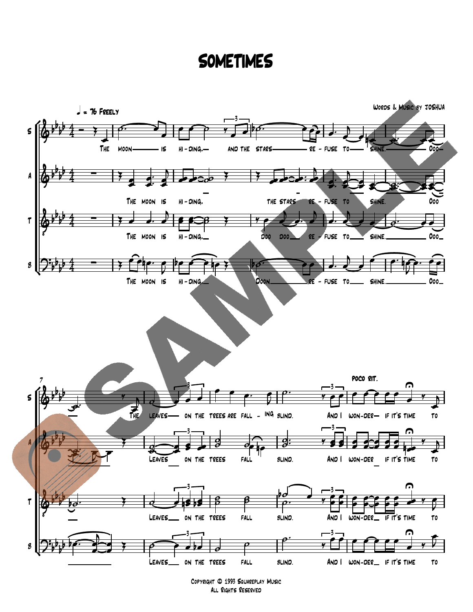## SOMETIMES



Copyright © 1993 Squareplay Music All Rights Reserved